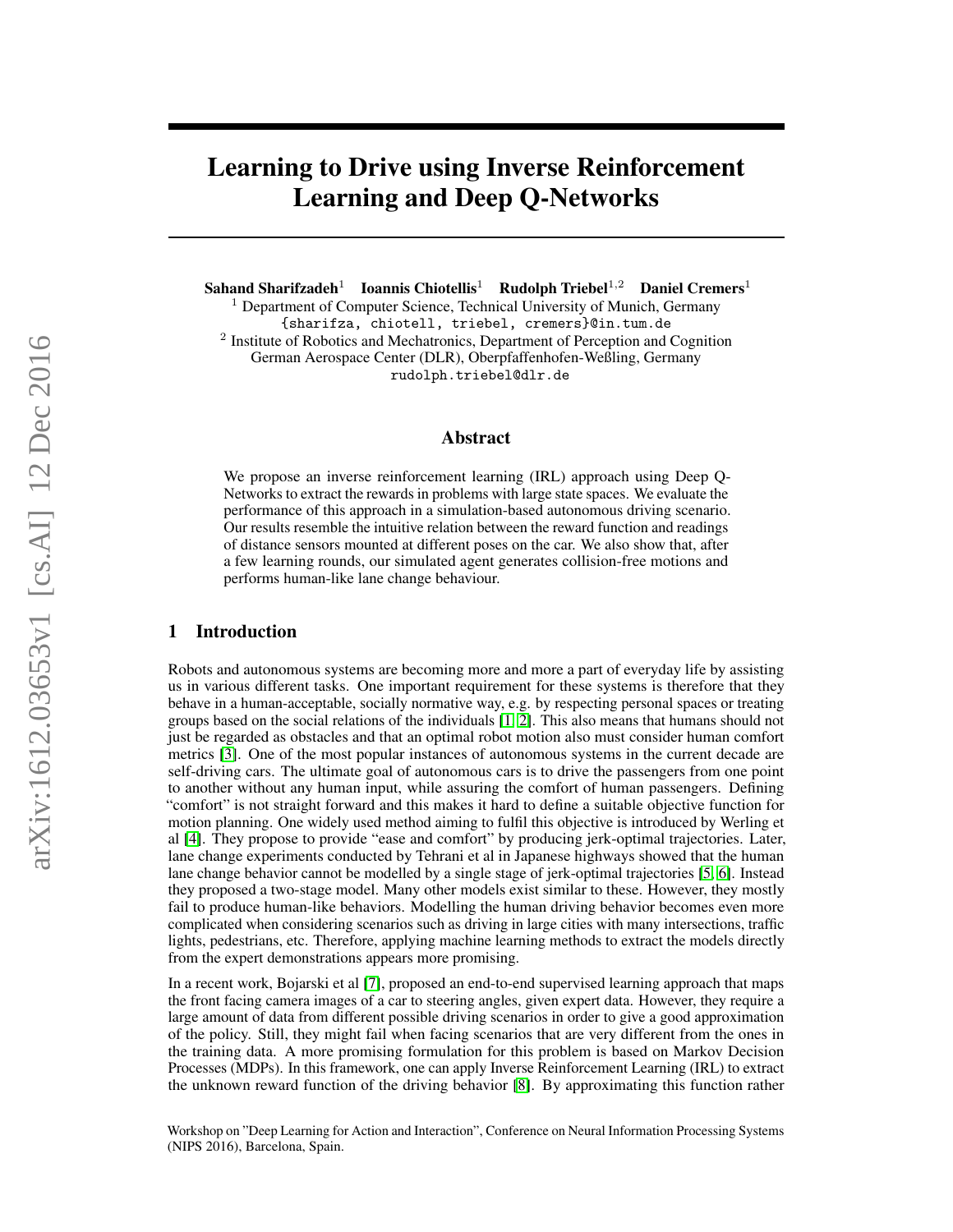# Learning to Drive using Inverse Reinforcement Learning and Deep Q-Networks

Sahand Sharifzadeh<sup>1</sup> Ioannis Chiotellis<sup>1</sup> Rudolph Triebel<sup>1,2</sup> Daniel Cremers<sup>1</sup> <sup>1</sup> Department of Computer Science, Technical University of Munich, Germany {sharifza, chiotell, triebel, cremers}@in.tum.de <sup>2</sup> Institute of Robotics and Mechatronics, Department of Perception and Cognition German Aerospace Center (DLR), Oberpfaffenhofen-Weßling, Germany

rudolph.triebel@dlr.de

#### Abstract

We propose an inverse reinforcement learning (IRL) approach using Deep Q-Networks to extract the rewards in problems with large state spaces. We evaluate the performance of this approach in a simulation-based autonomous driving scenario. Our results resemble the intuitive relation between the reward function and readings of distance sensors mounted at different poses on the car. We also show that, after a few learning rounds, our simulated agent generates collision-free motions and performs human-like lane change behaviour.

#### 1 Introduction

Robots and autonomous systems are becoming more and more a part of everyday life by assisting us in various different tasks. One important requirement for these systems is therefore that they behave in a human-acceptable, socially normative way, e.g. by respecting personal spaces or treating groups based on the social relations of the individuals [\[1,](#page-5-0) [2\]](#page-5-1). This also means that humans should not just be regarded as obstacles and that an optimal robot motion also must consider human comfort metrics [\[3\]](#page-5-2). One of the most popular instances of autonomous systems in the current decade are self-driving cars. The ultimate goal of autonomous cars is to drive the passengers from one point to another without any human input, while assuring the comfort of human passengers. Defining "comfort" is not straight forward and this makes it hard to define a suitable objective function for motion planning. One widely used method aiming to fulfil this objective is introduced by Werling et al [\[4\]](#page-5-3). They propose to provide "ease and comfort" by producing jerk-optimal trajectories. Later, lane change experiments conducted by Tehrani et al in Japanese highways showed that the human lane change behavior cannot be modelled by a single stage of jerk-optimal trajectories [\[5,](#page-5-4) [6\]](#page-5-5). Instead they proposed a two-stage model. Many other models exist similar to these. However, they mostly fail to produce human-like behaviors. Modelling the human driving behavior becomes even more complicated when considering scenarios such as driving in large cities with many intersections, traffic lights, pedestrians, etc. Therefore, applying machine learning methods to extract the models directly from the expert demonstrations appears more promising.

In a recent work, Bojarski et al [\[7\]](#page-5-6), proposed an end-to-end supervised learning approach that maps the front facing camera images of a car to steering angles, given expert data. However, they require a large amount of data from different possible driving scenarios in order to give a good approximation of the policy. Still, they might fail when facing scenarios that are very different from the ones in the training data. A more promising formulation for this problem is based on Markov Decision Processes (MDPs). In this framework, one can apply Inverse Reinforcement Learning (IRL) to extract the unknown reward function of the driving behavior [\[8\]](#page-5-7). By approximating this function rather

Workshop on "Deep Learning for Action and Interaction", Conference on Neural Information Processing Systems (NIPS 2016), Barcelona, Spain.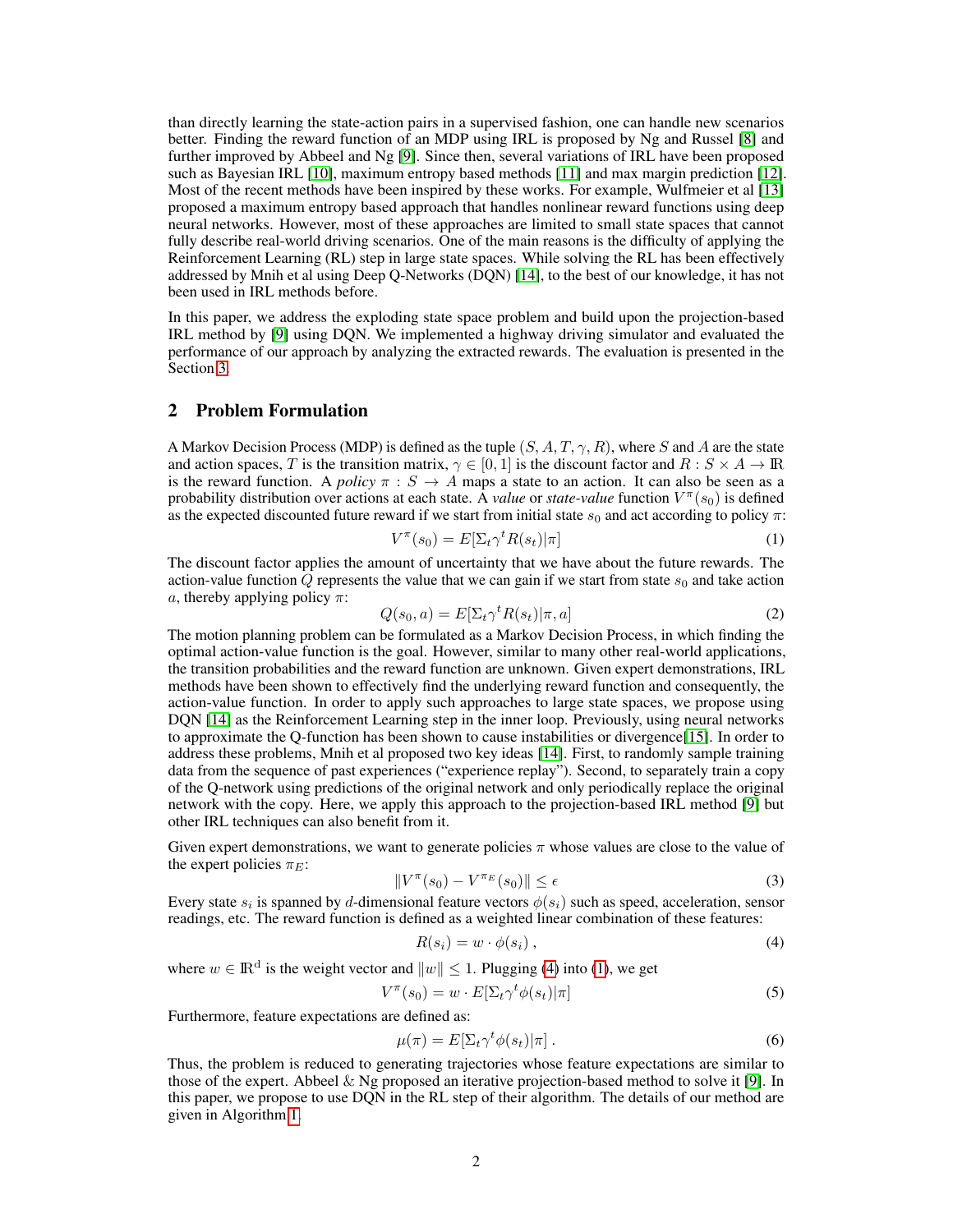than directly learning the state-action pairs in a supervised fashion, one can handle new scenarios better. Finding the reward function of an MDP using IRL is proposed by Ng and Russel [\[8\]](#page-5-7) and further improved by Abbeel and Ng [\[9\]](#page-5-8). Since then, several variations of IRL have been proposed such as Bayesian IRL [\[10\]](#page-5-9), maximum entropy based methods [\[11\]](#page-5-10) and max margin prediction [\[12\]](#page-5-11). Most of the recent methods have been inspired by these works. For example, Wulfmeier et al [\[13\]](#page-5-12) proposed a maximum entropy based approach that handles nonlinear reward functions using deep neural networks. However, most of these approaches are limited to small state spaces that cannot fully describe real-world driving scenarios. One of the main reasons is the difficulty of applying the Reinforcement Learning (RL) step in large state spaces. While solving the RL has been effectively addressed by Mnih et al using Deep Q-Networks (DQN) [\[14\]](#page-5-13), to the best of our knowledge, it has not been used in IRL methods before.

In this paper, we address the exploding state space problem and build upon the projection-based IRL method by [\[9\]](#page-5-8) using DQN. We implemented a highway driving simulator and evaluated the performance of our approach by analyzing the extracted rewards. The evaluation is presented in the Section [3.](#page-2-0)

## 2 Problem Formulation

A Markov Decision Process (MDP) is defined as the tuple  $(S, A, T, \gamma, R)$ , where S and A are the state and action spaces, T is the transition matrix,  $\gamma \in [0, 1]$  is the discount factor and  $R : S \times A \to \mathbb{R}$ is the reward function. A *policy*  $\pi : S \to A$  maps a state to an action. It can also be seen as a probability distribution over actions at each state. A *value* or *state-value* function  $V^{\pi}(s_0)$  is defined as the expected discounted future reward if we start from initial state  $s_0$  and act according to policy  $\pi$ :

<span id="page-1-1"></span>
$$
V^{\pi}(s_0) = E[\Sigma_t \gamma^t R(s_t) | \pi]
$$
\n(1)

The discount factor applies the amount of uncertainty that we have about the future rewards. The action-value function  $Q$  represents the value that we can gain if we start from state  $s<sub>0</sub>$  and take action a, thereby applying policy  $\pi$ :

$$
Q(s_0, a) = E[\Sigma_t \gamma^t R(s_t) | \pi, a]
$$
\n(2)

The motion planning problem can be formulated as a Markov Decision Process, in which finding the optimal action-value function is the goal. However, similar to many other real-world applications, the transition probabilities and the reward function are unknown. Given expert demonstrations, IRL methods have been shown to effectively find the underlying reward function and consequently, the action-value function. In order to apply such approaches to large state spaces, we propose using DQN [\[14\]](#page-5-13) as the Reinforcement Learning step in the inner loop. Previously, using neural networks to approximate the Q-function has been shown to cause instabilities or divergence[\[15\]](#page-6-0). In order to address these problems, Mnih et al proposed two key ideas [\[14\]](#page-5-13). First, to randomly sample training data from the sequence of past experiences ("experience replay"). Second, to separately train a copy of the Q-network using predictions of the original network and only periodically replace the original network with the copy. Here, we apply this approach to the projection-based IRL method [\[9\]](#page-5-8) but other IRL techniques can also benefit from it.

Given expert demonstrations, we want to generate policies  $\pi$  whose values are close to the value of the expert policies  $\pi_E$ :

$$
||V^{\pi}(s_0) - V^{\pi_E}(s_0)|| \le \epsilon \tag{3}
$$

Every state  $s_i$  is spanned by d-dimensional feature vectors  $\phi(s_i)$  such as speed, acceleration, sensor readings, etc. The reward function is defined as a weighted linear combination of these features:

<span id="page-1-0"></span>
$$
R(s_i) = w \cdot \phi(s_i), \qquad (4)
$$

where  $w \in \mathbb{R}^d$  is the weight vector and  $||w|| \leq 1$ . Plugging [\(4\)](#page-1-0) into [\(1\)](#page-1-1), we get

$$
V^{\pi}(s_0) = w \cdot E[\Sigma_t \gamma^t \phi(s_t) | \pi]
$$
\n(5)

Furthermore, feature expectations are defined as:

$$
\mu(\pi) = E[\Sigma_t \gamma^t \phi(s_t) | \pi]. \tag{6}
$$

Thus, the problem is reduced to generating trajectories whose feature expectations are similar to those of the expert. Abbeel  $&$  Ng proposed an iterative projection-based method to solve it [\[9\]](#page-5-8). In this paper, we propose to use DQN in the RL step of their algorithm. The details of our method are given in Algorithm [1.](#page-2-1)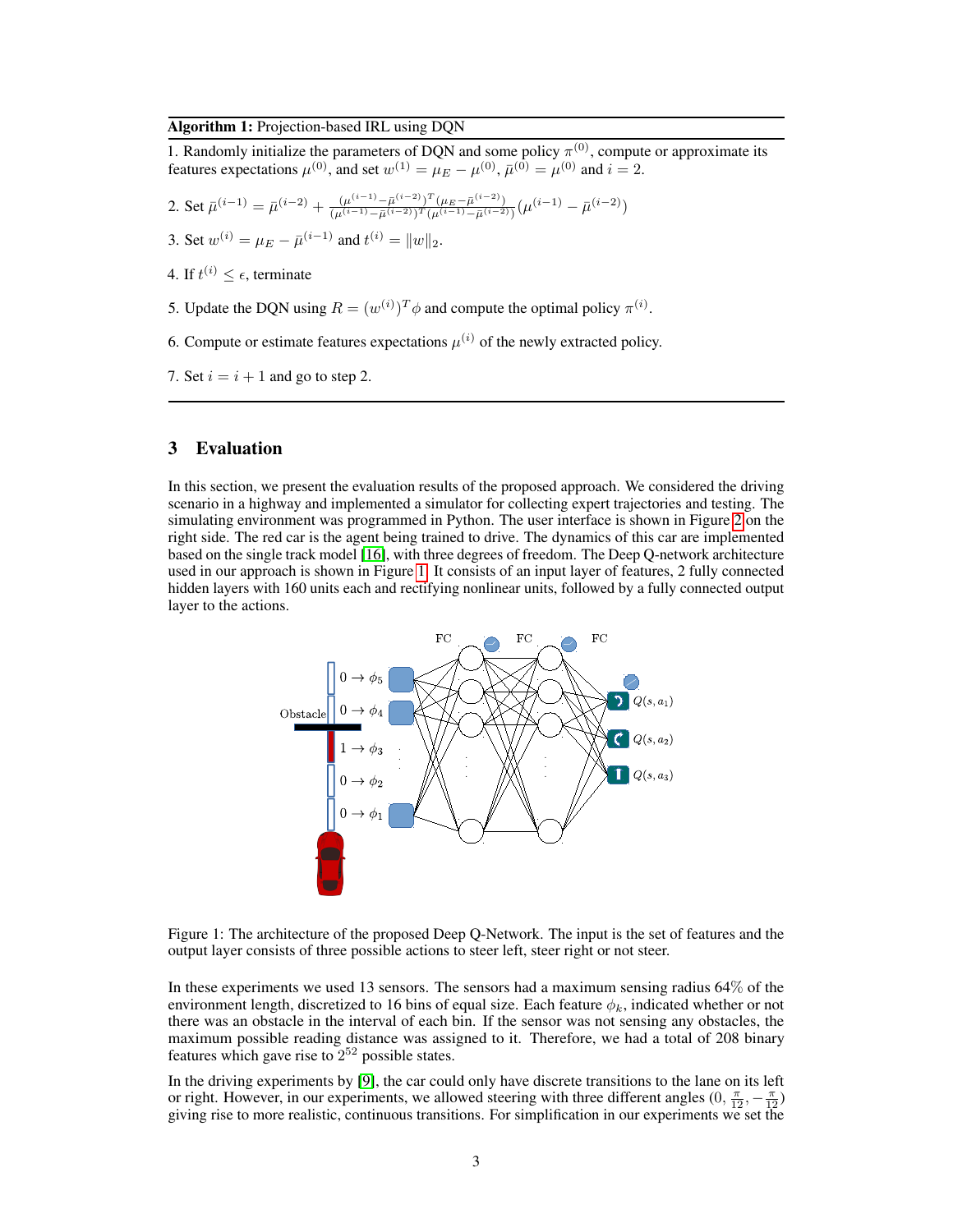#### Algorithm 1: Projection-based IRL using DQN

1. Randomly initialize the parameters of DQN and some policy  $\pi^{(0)}$ , compute or approximate its features expectations  $\mu^{(0)}$ , and set  $w^{(1)} = \mu_E - \mu^{(0)}$ ,  $\bar{\mu}^{(0)} = \mu^{(0)}$  and  $i = 2$ .

2. Set 
$$
\bar{\mu}^{(i-1)} = \bar{\mu}^{(i-2)} + \frac{(\mu^{(i-1)} - \bar{\mu}^{(i-2)})^T (\mu_E - \bar{\mu}^{(i-2)})}{(\mu^{(i-1)} - \bar{\mu}^{(i-2)})^T (\mu^{(i-1)} - \bar{\mu}^{(i-2)})} (\mu^{(i-1)} - \bar{\mu}^{(i-2)})
$$

3. Set  $w^{(i)} = \mu_E - \bar{\mu}^{(i-1)}$  and  $t^{(i)} = ||w||_2$ .

4. If  $t^{(i)} \leq \epsilon$ , terminate

- 5. Update the DQN using  $R = (w^{(i)})^T \phi$  and compute the optimal policy  $\pi^{(i)}$ .
- 6. Compute or estimate features expectations  $\mu^{(i)}$  of the newly extracted policy.
- <span id="page-2-1"></span>7. Set  $i = i + 1$  and go to step 2.

## <span id="page-2-0"></span>3 Evaluation

In this section, we present the evaluation results of the proposed approach. We considered the driving scenario in a highway and implemented a simulator for collecting expert trajectories and testing. The simulating environment was programmed in Python. The user interface is shown in Figure [2](#page-3-0) on the right side. The red car is the agent being trained to drive. The dynamics of this car are implemented based on the single track model [\[16\]](#page-6-1), with three degrees of freedom. The Deep Q-network architecture used in our approach is shown in Figure [1.](#page-2-2) It consists of an input layer of features, 2 fully connected hidden layers with 160 units each and rectifying nonlinear units, followed by a fully connected output layer to the actions.



<span id="page-2-2"></span>Figure 1: The architecture of the proposed Deep Q-Network. The input is the set of features and the output layer consists of three possible actions to steer left, steer right or not steer.

In these experiments we used 13 sensors. The sensors had a maximum sensing radius 64% of the environment length, discretized to 16 bins of equal size. Each feature  $\phi_k$ , indicated whether or not there was an obstacle in the interval of each bin. If the sensor was not sensing any obstacles, the maximum possible reading distance was assigned to it. Therefore, we had a total of 208 binary features which gave rise to  $2^{52}$  possible states.

In the driving experiments by [\[9\]](#page-5-8), the car could only have discrete transitions to the lane on its left or right. However, in our experiments, we allowed steering with three different angles  $(0, \frac{\pi}{12}, -\frac{\pi}{12})$ giving rise to more realistic, continuous transitions. For simplification in our experiments we set the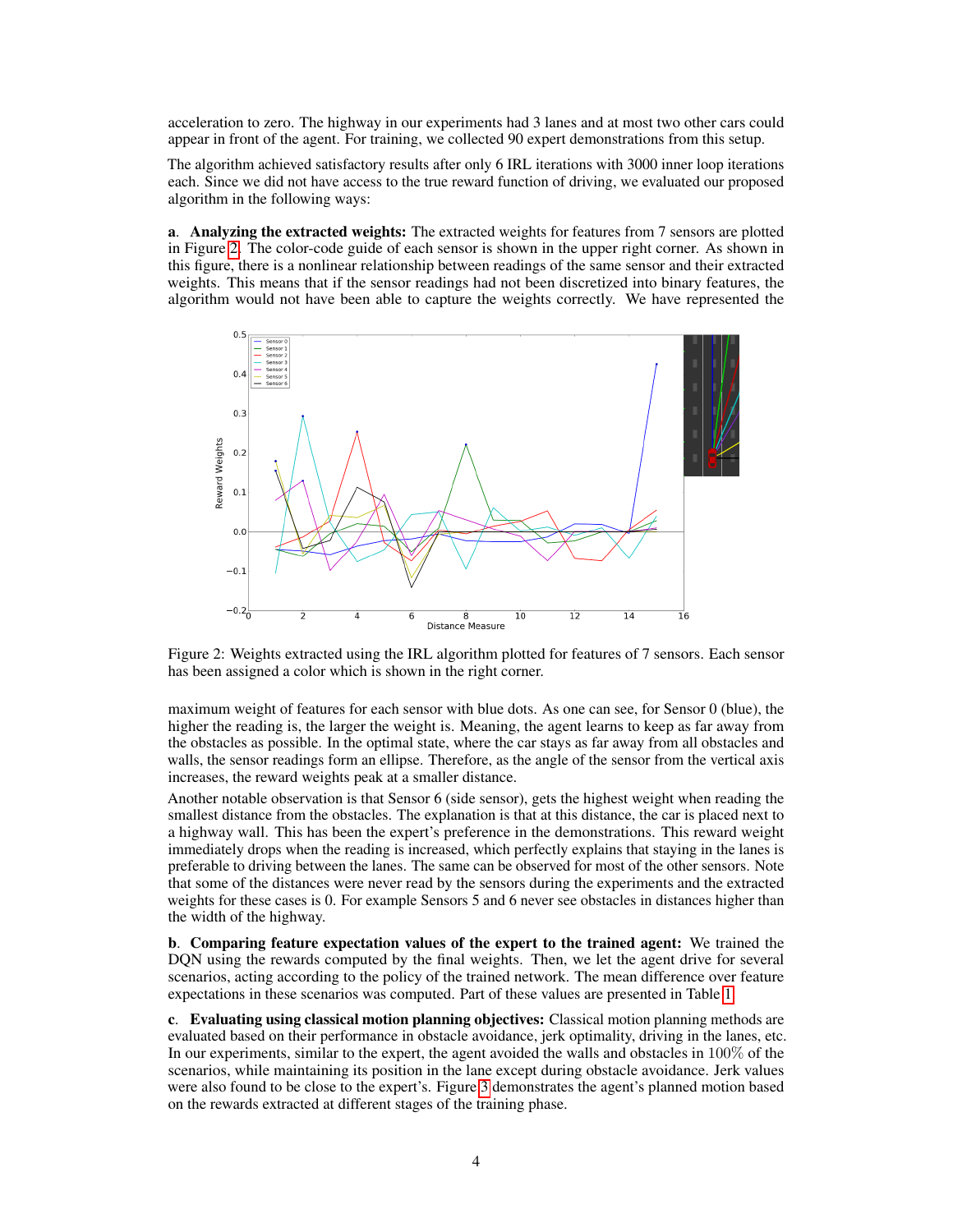acceleration to zero. The highway in our experiments had 3 lanes and at most two other cars could appear in front of the agent. For training, we collected 90 expert demonstrations from this setup.

The algorithm achieved satisfactory results after only 6 IRL iterations with 3000 inner loop iterations each. Since we did not have access to the true reward function of driving, we evaluated our proposed algorithm in the following ways:

a. Analyzing the extracted weights: The extracted weights for features from 7 sensors are plotted in Figure [2.](#page-3-0) The color-code guide of each sensor is shown in the upper right corner. As shown in this figure, there is a nonlinear relationship between readings of the same sensor and their extracted weights. This means that if the sensor readings had not been discretized into binary features, the algorithm would not have been able to capture the weights correctly. We have represented the



<span id="page-3-0"></span>Figure 2: Weights extracted using the IRL algorithm plotted for features of 7 sensors. Each sensor has been assigned a color which is shown in the right corner.

maximum weight of features for each sensor with blue dots. As one can see, for Sensor 0 (blue), the higher the reading is, the larger the weight is. Meaning, the agent learns to keep as far away from the obstacles as possible. In the optimal state, where the car stays as far away from all obstacles and walls, the sensor readings form an ellipse. Therefore, as the angle of the sensor from the vertical axis increases, the reward weights peak at a smaller distance.

Another notable observation is that Sensor 6 (side sensor), gets the highest weight when reading the smallest distance from the obstacles. The explanation is that at this distance, the car is placed next to a highway wall. This has been the expert's preference in the demonstrations. This reward weight immediately drops when the reading is increased, which perfectly explains that staying in the lanes is preferable to driving between the lanes. The same can be observed for most of the other sensors. Note that some of the distances were never read by the sensors during the experiments and the extracted weights for these cases is 0. For example Sensors 5 and 6 never see obstacles in distances higher than the width of the highway.

b. Comparing feature expectation values of the expert to the trained agent: We trained the DQN using the rewards computed by the final weights. Then, we let the agent drive for several scenarios, acting according to the policy of the trained network. The mean difference over feature expectations in these scenarios was computed. Part of these values are presented in Table [1.](#page-5-14)

c. Evaluating using classical motion planning objectives: Classical motion planning methods are evaluated based on their performance in obstacle avoidance, jerk optimality, driving in the lanes, etc. In our experiments, similar to the expert, the agent avoided the walls and obstacles in 100% of the scenarios, while maintaining its position in the lane except during obstacle avoidance. Jerk values were also found to be close to the expert's. Figure [3](#page-4-0) demonstrates the agent's planned motion based on the rewards extracted at different stages of the training phase.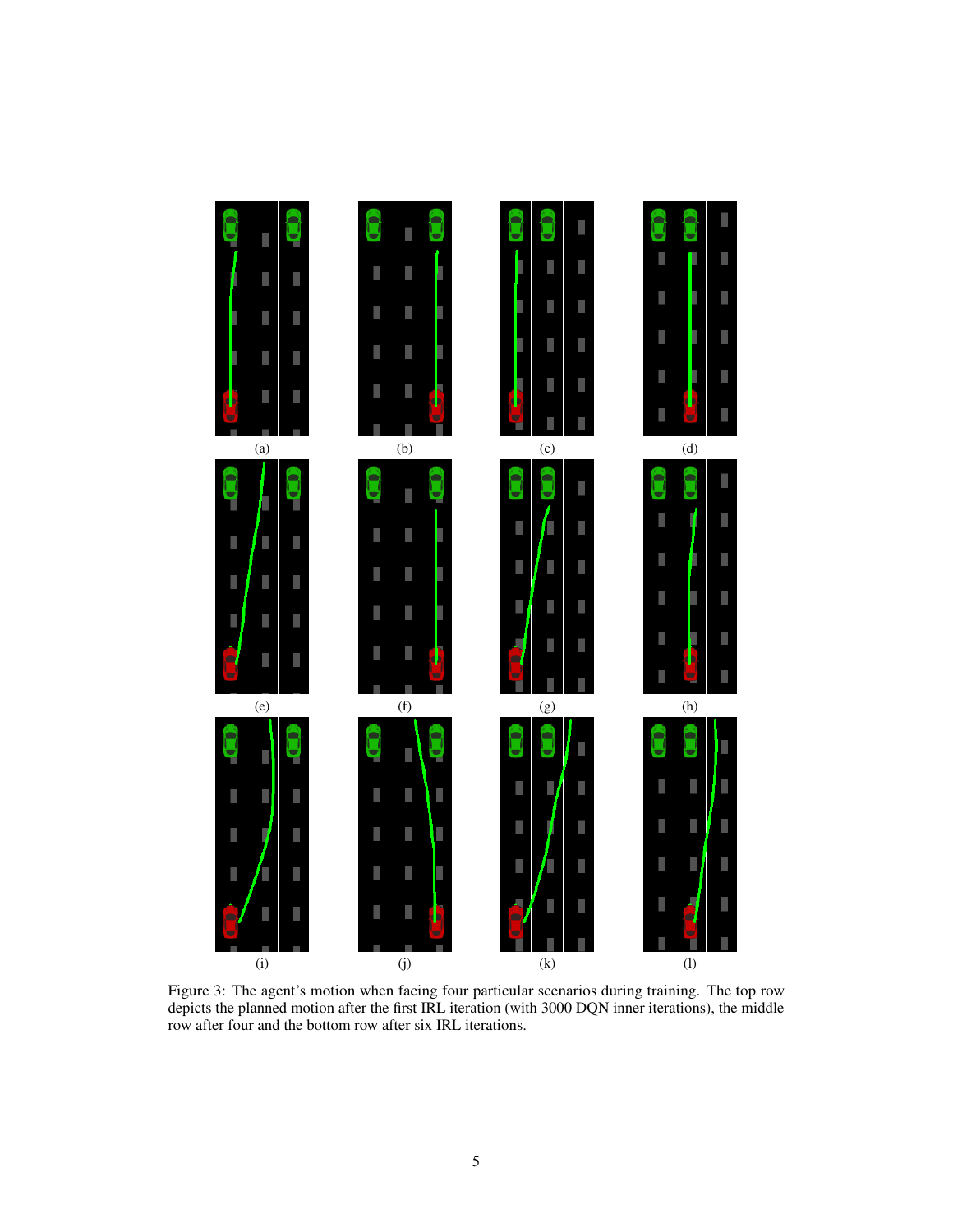

<span id="page-4-0"></span>Figure 3: The agent's motion when facing four particular scenarios during training. The top row depicts the planned motion after the first IRL iteration (with 3000 DQN inner iterations), the middle row after four and the bottom row after six IRL iterations.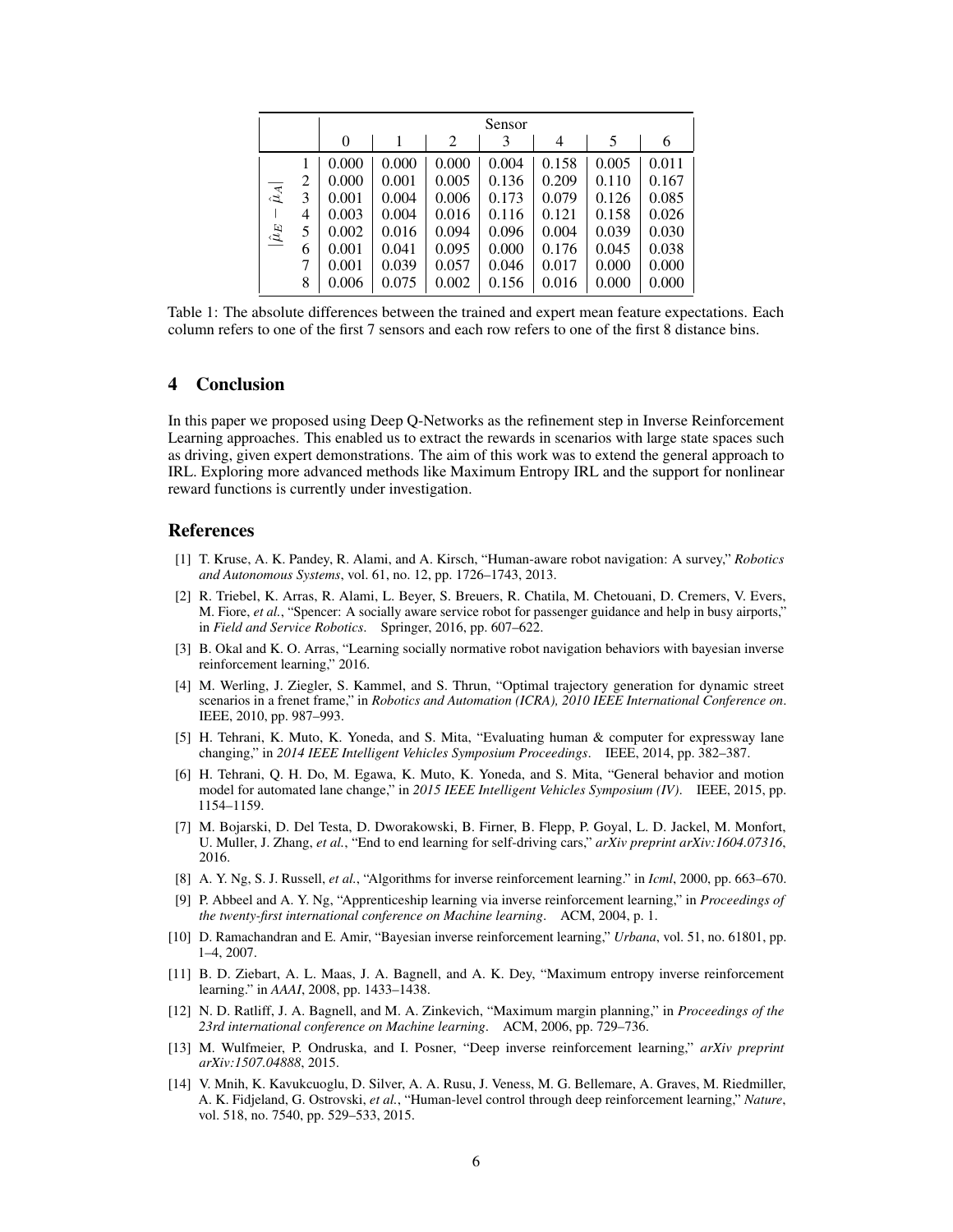|                                 |   | Sensor   |       |       |       |       |       |       |
|---------------------------------|---|----------|-------|-------|-------|-------|-------|-------|
|                                 |   | $\theta$ |       | 2     | 3     | 4     | 5     | 6     |
| $\hat{\mu}_A$<br>$ \hat{\mu}_E$ | 1 | 0.000    | 0.000 | 0.000 | 0.004 | 0.158 | 0.005 | 0.011 |
|                                 | 2 | 0.000    | 0.001 | 0.005 | 0.136 | 0.209 | 0.110 | 0.167 |
|                                 | 3 | 0.001    | 0.004 | 0.006 | 0.173 | 0.079 | 0.126 | 0.085 |
|                                 | 4 | 0.003    | 0.004 | 0.016 | 0.116 | 0.121 | 0.158 | 0.026 |
|                                 | 5 | 0.002    | 0.016 | 0.094 | 0.096 | 0.004 | 0.039 | 0.030 |
|                                 | 6 | 0.001    | 0.041 | 0.095 | 0.000 | 0.176 | 0.045 | 0.038 |
|                                 | 7 | 0.001    | 0.039 | 0.057 | 0.046 | 0.017 | 0.000 | 0.000 |
|                                 | 8 | 0.006    | 0.075 | 0.002 | 0.156 | 0.016 | 0.000 | 0.000 |

<span id="page-5-14"></span>Table 1: The absolute differences between the trained and expert mean feature expectations. Each column refers to one of the first 7 sensors and each row refers to one of the first 8 distance bins.

## 4 Conclusion

In this paper we proposed using Deep Q-Networks as the refinement step in Inverse Reinforcement Learning approaches. This enabled us to extract the rewards in scenarios with large state spaces such as driving, given expert demonstrations. The aim of this work was to extend the general approach to IRL. Exploring more advanced methods like Maximum Entropy IRL and the support for nonlinear reward functions is currently under investigation.

### References

- <span id="page-5-0"></span>[1] T. Kruse, A. K. Pandey, R. Alami, and A. Kirsch, "Human-aware robot navigation: A survey," *Robotics and Autonomous Systems*, vol. 61, no. 12, pp. 1726–1743, 2013.
- <span id="page-5-1"></span>[2] R. Triebel, K. Arras, R. Alami, L. Beyer, S. Breuers, R. Chatila, M. Chetouani, D. Cremers, V. Evers, M. Fiore, *et al.*, "Spencer: A socially aware service robot for passenger guidance and help in busy airports," in *Field and Service Robotics*. Springer, 2016, pp. 607–622.
- <span id="page-5-2"></span>[3] B. Okal and K. O. Arras, "Learning socially normative robot navigation behaviors with bayesian inverse reinforcement learning," 2016.
- <span id="page-5-3"></span>[4] M. Werling, J. Ziegler, S. Kammel, and S. Thrun, "Optimal trajectory generation for dynamic street scenarios in a frenet frame," in *Robotics and Automation (ICRA), 2010 IEEE International Conference on*. IEEE, 2010, pp. 987–993.
- <span id="page-5-4"></span>[5] H. Tehrani, K. Muto, K. Yoneda, and S. Mita, "Evaluating human & computer for expressway lane changing," in *2014 IEEE Intelligent Vehicles Symposium Proceedings*. IEEE, 2014, pp. 382–387.
- <span id="page-5-5"></span>[6] H. Tehrani, Q. H. Do, M. Egawa, K. Muto, K. Yoneda, and S. Mita, "General behavior and motion model for automated lane change," in *2015 IEEE Intelligent Vehicles Symposium (IV)*. IEEE, 2015, pp. 1154–1159.
- <span id="page-5-6"></span>[7] M. Bojarski, D. Del Testa, D. Dworakowski, B. Firner, B. Flepp, P. Goyal, L. D. Jackel, M. Monfort, U. Muller, J. Zhang, *et al.*, "End to end learning for self-driving cars," *arXiv preprint arXiv:1604.07316*, 2016.
- <span id="page-5-7"></span>[8] A. Y. Ng, S. J. Russell, *et al.*, "Algorithms for inverse reinforcement learning." in *Icml*, 2000, pp. 663–670.
- <span id="page-5-8"></span>[9] P. Abbeel and A. Y. Ng, "Apprenticeship learning via inverse reinforcement learning," in *Proceedings of the twenty-first international conference on Machine learning*. ACM, 2004, p. 1.
- <span id="page-5-9"></span>[10] D. Ramachandran and E. Amir, "Bayesian inverse reinforcement learning," *Urbana*, vol. 51, no. 61801, pp. 1–4, 2007.
- <span id="page-5-10"></span>[11] B. D. Ziebart, A. L. Maas, J. A. Bagnell, and A. K. Dey, "Maximum entropy inverse reinforcement learning." in *AAAI*, 2008, pp. 1433–1438.
- <span id="page-5-11"></span>[12] N. D. Ratliff, J. A. Bagnell, and M. A. Zinkevich, "Maximum margin planning," in *Proceedings of the 23rd international conference on Machine learning*. ACM, 2006, pp. 729–736.
- <span id="page-5-12"></span>[13] M. Wulfmeier, P. Ondruska, and I. Posner, "Deep inverse reinforcement learning," *arXiv preprint arXiv:1507.04888*, 2015.
- <span id="page-5-13"></span>[14] V. Mnih, K. Kavukcuoglu, D. Silver, A. A. Rusu, J. Veness, M. G. Bellemare, A. Graves, M. Riedmiller, A. K. Fidjeland, G. Ostrovski, *et al.*, "Human-level control through deep reinforcement learning," *Nature*, vol. 518, no. 7540, pp. 529–533, 2015.